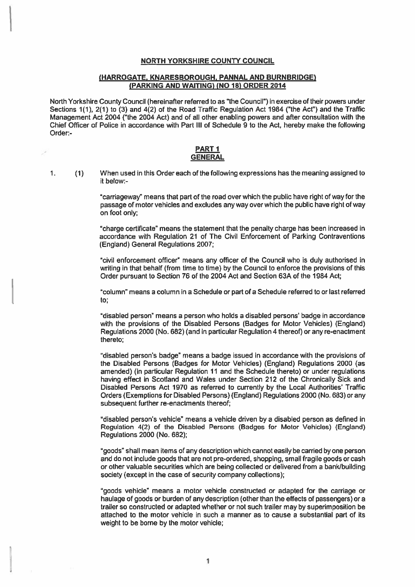#### NORTH YORKSHIRE COUNTY COUNCIL

### (HARROGATE, KNARESBOROUGH. PANNAL AND BURNBRIDGE) (PARKING AND WAITING) (NO 18) ORDER 2014

North Yorkshire County Council (hereinafter referred to as "the Council") in exercise of their powers under Sections 1(1), 2(1) to (3) and 4(2) of the Road Traffic Regulation Act 1984 ("the Act") and the Traffic Management Act 2004 ("the 2004 Act) and of all other enabling powers and after consultation with the Chief Officer of Police in accordance with Part Ill of Schedule 9 to the Act, hereby make the following Order:

#### PART I GENERAL

 $\mathbf{1}$ . (1) When used in this Order each of the following expressions has the meaning assigned to it below:-

> 'carriageway" means that par<sup>t</sup> of the road over which the public have right of way for the passage of motor vehicles and excludes any way over which the public have right of way on foot only;

> "charge certificate" means the statement that the penalty charge has been increased in accordance with Regulation 21 of The Civil Enforcement of Parking Contraventions (England) General Regulations 2007;

> "civil enforcement officer" means any officer of the Council who is duly authorised in writing in that behalf (from time to time) by the Council to enforce the provisions of this Order pursuan<sup>t</sup> to Section 76 of the 2004 Act and Section 63A of the 1964 Act;

> "column" means <sup>a</sup> column in <sup>a</sup> Schedule or par<sup>t</sup> of <sup>a</sup> Schedule referred to or last referred to;

> "disabled person" means <sup>a</sup> person who holds <sup>a</sup> disabled persons' badge in accordance with the provisions of the Disabled Persons (Badges for Motor Vehicles) (England) Regulations 2000 (No.682) (and in particular Regulation 4 thereof) or any re-enactment thereto:

> "disabled person's badge" means <sup>a</sup> badge issued in accordance with the provisions of the Disabled Persons (Badges for Motor Vehicles) (England) Regulations 2000 (as amended) (in particular Regulation 11 and the Schedule thereto) or under regulations having effect in Scotland and Wales under Section 212 of the Chronically Sick and Disabled Persons Act 1970 as referred to currently by the Local Authorities' Traffic Orders (Exemptions for Disabled Persons) (England) Regulations 2000 (No.683) or any subsequent further re-enactments thereof;

> "disabled person's vehicle" means <sup>a</sup> vehicle driven by <sup>a</sup> disabled person as defined in Regulation 4(2) of the Disabled Persons (Badges for Motor Vehicles) (England) Regulations 2000 (No. 682):

> "goods" shall mean items of any description which cannot easily be carried by one person and do not include goods that are not pre-ordered, shopping, small fragile goods or cash or other valuable securities which are being collected or delivered from <sup>a</sup> bank/building society (except in the case of security company collections):

> "goods vehicle" means <sup>a</sup> motor vehicle constructed or adapted for the carriage or haulage of goods or burden of any description (other than the effects of passengers) or <sup>a</sup> trailer so constructed or adapted whether or not such trailer may by superimposition be attached to the motor vehicle in such <sup>a</sup> manner as to cause <sup>a</sup> substantial par<sup>t</sup> of its weight to be borne by the motor vehicle;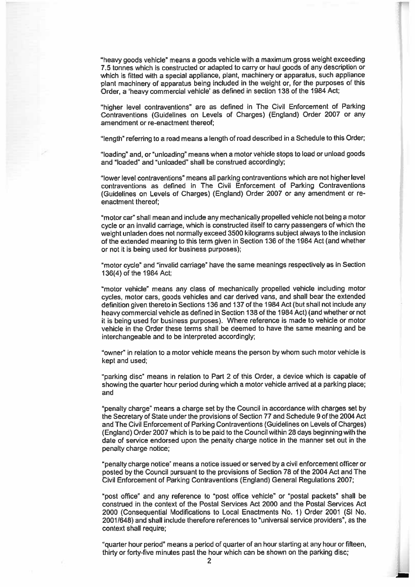"heavy goods vehicle" means <sup>a</sup> goods vehicle with <sup>a</sup> maximum gross weight exceeding 7.5 tonnes which is constructed or adapted to carry or haul goods of any description or which is fitted with <sup>a</sup> special appliance, <sup>p</sup>lant, machinery or apparatus, such appliance <sup>p</sup>lant machinery of apparatus being included in the weight or, for the purposes of this Order, <sup>a</sup> 'heavy commercial vehicle' as defined in section <sup>138</sup> of the <sup>1984</sup> Act;

r

"higher level contraventions" are as defined in The Civil Enforcement of Parking Contraventions (Guidelines on Levels of Charges) (England) Order 2007 or any amendment or re-enactment thereof;

"length" referring to <sup>a</sup> road means <sup>a</sup> length of road described in <sup>a</sup> Schedule to this Order;

"loading" and, or "unloading" means when <sup>a</sup> motor vehicle stops to load or unload goods and "loaded" and "unloaded" shall be construed accordingly;

"lower level contraventions" means all parking contraventions which are not higher level contraventions as defined in The Civil Enforcement of Parking Contraventions (Guidelines on Levels of Charges) (England) Order 2007 or any amendment or re enactment thereof;

"motor car" shall mean and include any mechanically propelled vehicle not being <sup>a</sup> motor cycle or an invalid carriage, which is constructed itself to carry passengers of which the weight unladen does not normally exceed <sup>3500</sup> kilograms subject always to the inclusion of the extended meaning to this term <sup>g</sup>iven in Section 136 of the 1984 Act (and whether or not it is being used for business purposes);

"motor cycle" and "invalid carriage" have the same meanings respectively as in Section 136(4) of the 1984 Act;

"motor vehicle" means any class of mechanically propelled vehicle including motor cycles, motor cars, goods vehicles and car derived vans, and shall bear the extended definition <sup>g</sup>iven thereto in Sections 136 and <sup>1</sup> 37 of the 1984 Act (but shall not include any heavy commercial vehicle as defined in Section 138 of the 1984 Act) (and whether or not it is being used for business purposes). Where reference is made to vehicle or motor vehicle in the Order these terms shall be deemed to have the same meaning and be interchangeable and to be interpreted accordingly;

"owner" in relation to <sup>a</sup> motor vehicle means the person by whom such motor vehicle is kept and used;

"parking disc" means in relation to Part 2 of this Order, <sup>a</sup> device which is capable of showing the quarter hour period during which <sup>a</sup> motor vehicle arrived at <sup>a</sup> parking place; and

"penalty charge" means <sup>a</sup> charge set by the Council in accordance with charges set by the Secretary of State under the provisions of Section 77 and Schedule 9 of the 2004 Act and The Civil Enforcement of Parking Contraventions (Guidelines on Levels of Charges) (England) Order 2007 which is to be paid to the Council within 28 days beginning with the date of service endorsed upon the penalty charge notice in the manner set out in the penalty charge notice;

"penalty charge notice" means <sup>a</sup> notice issued or served by <sup>a</sup> civil enforcement officer or posted by the Council pursuan<sup>t</sup> to the provisions of Section 78 of the 2004 Act and The Civil Enforcement of Parking Contraventions (England) General Regulations 2007:

"post office" and any reference to "post office vehicle" or "postal packets" shall be construed in the context of the Postal Services Act 2000 and the Postal Services Act 2000 (Consequential Modifications to Local Enactments No. 1) Order 2001 (SI No. 2001/648) and shall include therefore references to "universal service providers", as the context shall require;

"quarter hour period" means <sup>a</sup> period of quarter of an hour starting at any hour or fifteen, thirty or forty-five minutes pas<sup>t</sup> the hour which can be shown on the parking disc;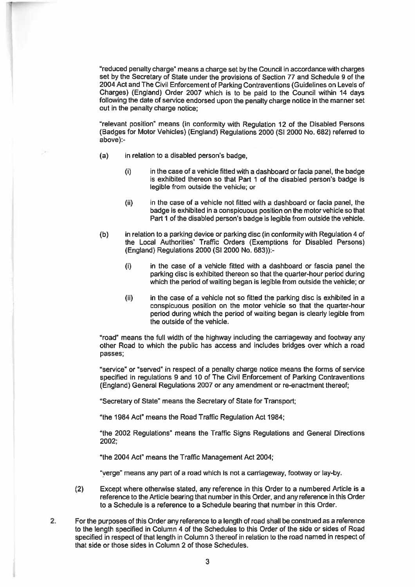"reduced penalty charge" means <sup>a</sup> charge set by the Council in accordance with charges set by the Secretary of State under the provisions of Section <sup>77</sup> and Schedule <sup>9</sup> of the 2004 Act and The Civil Enforcement of Parking Contraventions (Guidelines on Levels of Charges) (England) Order <sup>2007</sup> which is to be paid to the Council within <sup>14</sup> days following the date of service endorsed upon the penalty charge notice in the manner set out in the penalty charge notice;

"relevant position" means (in conformity with Regulation <sup>12</sup> of the Disabled Persons (Badges for Motor Vehicles) (England) Regulations 2000 (SI 2000 No. 682) referred to above):

- (a) in relation to <sup>a</sup> disabled person's badge,
	- (i) in the case of <sup>a</sup> vehicle fitted with <sup>a</sup> dashboard or facia panel, the badge is exhibited thereon so that Part 1 of the disabled person's badge is legible from outside the vehicle; or
	- $(i)$  in the case of a vehicle not fitted with a dashboard or facia panel, the badge is exhibited in <sup>a</sup> conspicuous position on the motor vehicle so that Part 1 of the disabled person's badge is legible from outside the vehicle.
- (b) in relation to <sup>a</sup> parking device or parking disc (in conformity with Regulation 4 of the Local Authorities' Traffic Orders (Exemptions for Disabled Persons) (England) Regulations 2000 (SI 2000 No. 683)):-
	- $(i)$  in the case of a vehicle fitted with a dashboard or fascia panel the parking disc is exhibited thereon so that the quarter-hour period during which the period of waiting began is legible from outside the vehicle; or
	- $(ii)$  in the case of a vehicle not so fitted the parking disc is exhibited in a conspicuous position on the motor vehicle so that the quarter-hour period during which the period of waiting began is clearly legible from the outside of the vehicle.

"road" means the full width of the highway including the carriageway and footway any other Road to which the public has access and includes bridges over which <sup>a</sup> road passes;

"service" or "served" in respec<sup>t</sup> of <sup>a</sup> penalty charge notice means the forms of service specified in regulations 9 and 10 of The Civil Enforcement of Parking Contraventions (England) General Regulations 2007 or any amendment or re-enactment thereof;

"Secretary of State" means the Secretary of State for Transport;

"the 1984 Act" means the Road Traffic Regulation Act 1984;

"the 2002 Regulations" means the Traffic Signs Regulations and General Directions 2002;

"the 2004 Act" means the Traffic Management Act 2004;

"verge" means any par<sup>t</sup> of <sup>a</sup> road which is not <sup>a</sup> carriageway, footway or lay-by.

- (2) Except where otherwise stated, any reference in this Order to <sup>a</sup> numbered Article is <sup>a</sup> reference to the Article bearing that number in this Order, and any reference in this Order to <sup>a</sup> Schedule is <sup>a</sup> reference to <sup>a</sup> Schedule bearing that number in this Order.
- 2. For the purposes of this Order any reference to <sup>a</sup> length of road shall be construed as <sup>a</sup> reference to the length specified in Column 4 of the Schedules to this Order of the side or sides of Road specified in respec<sup>t</sup> of that length in Column 3 thereof in relation to the road named in respec<sup>t</sup> of that side or those sides in Column 2 of those Schedules.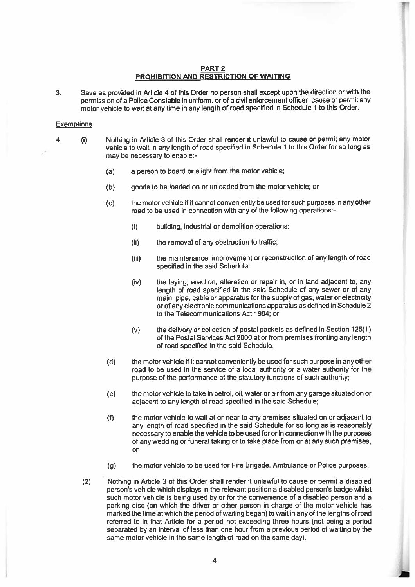#### PART 2 PROHIBITION AND RESTRICTION OF WAITING

3. Save as provided in Article <sup>4</sup> of this Order no person shall excep<sup>t</sup> upon the direction or with the permission of <sup>a</sup> Police Constable in uniform, or of <sup>a</sup> civil enforcement officer, cause or permit any motor vehicle to wait at any time in any length of road specified in Schedule 1 to this Order.

#### **Exemptions**

- 4. (i) Nothing in Article <sup>3</sup> of this Order shall render it unlawful to cause or permit any motor vehicle to wait in any length of road specified in Schedule <sup>1</sup> to this Order for so long as may be necessary to enable:
	- (a) <sup>a</sup> person to board or alight from the motor vehicle;
	- (b) goods to be loaded on or unloaded from the motor vehicle; or
	- (c) the motor vehicle if it cannot conveniently be used for such purposes in any other road to be used in connection with any of the following operations:
		- (i) building, industrial or demolition operations;
		- $(ii)$  the removal of any obstruction to traffic;
		- (iii) the maintenance, improvement or reconstruction of any length of road specified in the said Schedule;

r

a

- (iv) the laying, erection, alteration or repair in, or in land adjacent to, any length of road specified in the said Schedule of any sewer or of any main, <sup>p</sup>ipe, cable or apparatus for the supply of gas, water or electricity or of any electronic communications apparatus as defined in Schedule <sup>2</sup> to the Telecommunications Act 1984; or
- (v) the delivery or collection of postal packets as defined in Section 125(1) of the Postal Services Act 2000 at or from premises fronting any length of road specified in the said Schedule.
- (d) the motor vehicle if it cannot conveniently be used for such purpose in any other road to be used in the service of <sup>a</sup> local authority or <sup>a</sup> water authority for the purpose of the performance of the statutory functions of such authority;
- (e) the motor vehicle to take in petrol, oil, water or air from any garage situated on or adiacent to any length of road specified in the said Schedule:
- (f) the motor vehicle to wait at or near to any premises siluated on or adjacent to any length of road specified in the said Schedule for so long as is reasonably necessary to enable the vehicle to be used for or in connection with the purposes of any wedding or funeral taking or to take place from or at any such premises or
- (g) the motor vehicle to be used for Fire Brigade, Ambulance or Police purposes.
- (2) Nothing in Article 3 of this Order shall render it unlawful to cause or permit <sup>a</sup> disabled person's vehicle which displays in the relevant position <sup>a</sup> disabled person's badge whilst such motor vehicle is being used by or for the convenience of a disabled person and a parking disc (on which the driver or other person in charge of the motor vehicle has marked the time at which the period of waiting began) to wait in any of the lengths of road referred to in that Article for <sup>a</sup> period not exceeding three hours (not being <sup>a</sup> period separated by an interval of less than one hour from <sup>a</sup> previous period of waiting by the same motor vehicle in the same length of road on the same day)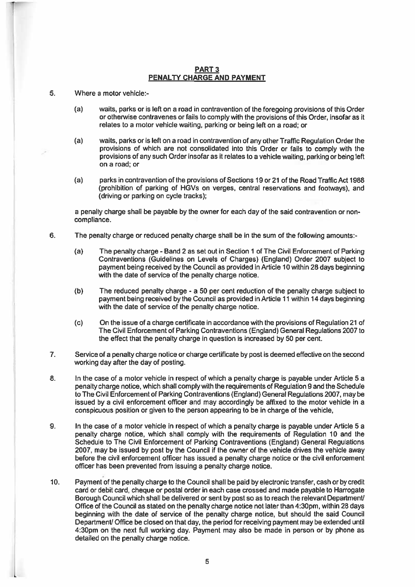### PART 3 PENALTY CHARGE AND PAYMENT

- 5. Where <sup>a</sup> motor vehicle:
	- (a) waits, parks or is left on <sup>a</sup> road in contravention of the foregoing provisions of this Order or otherwise contravenes or fails to comply with the provisions of this Order, insofar as it relates to <sup>a</sup> motor vehicle waiting, parking or being left on <sup>a</sup> road; or
	- (a) waits, parks or is left on <sup>a</sup> road in contravention of any other Traffic Regulation Order the provisions of which are not consolidated into this Order or fails to comply with the provisions of any such Order insofar as it relates to <sup>a</sup> vehicle waiting, parking or being left on a road; or
	- (a) parks in contravention of the provisions of Sections 19 or 21 of the Road Traffic Act 1988 (prohibition of parking of HGVs on verges, central reservations and footways), and (driving or parking on cycle tracks);

a penalty charge shall be payable by the owner for each day of the said contravention or non compliance.

- 6. The penalty charge or reduced penalty charge shall be in the sum of the following amounts:-
	- (a) The penalty charge -Band 2 as set out in Section 1 of The Civil Enforcement of Parking Contraventions (Guidelines on Levels of Charges) (England) Order 2007 subject to paymen<sup>t</sup> being received by the Council as provided in Article 10 within 28 days beginning with the date of service of the penalty charge notice.
	- (b) The reduced penalty charge <sup>a</sup> 50 per cent reduction of the penalty charge subject to paymen<sup>t</sup> being received by the Council as provided in Article 11 within 14 days beginning with the date of service of the penalty charge notice.
	- (c) On the issue of <sup>a</sup> charge certificate in accordance with the provisions of Regulation 21 of The Civil Enforcement of Parking Contraventions (England) General Regulations 2007 to the effect that the penalty charge in question is increased by 50 per cent.
- 7. Service of <sup>a</sup> penalty charge notice or charge certificate by pos<sup>t</sup> is deemed effective on the second working day after the day of posting.
- 8.I. In the case of a motor vehicle in respect of which a penalty charge is payable under Article 5 a penalty charge notice, which shall comply with the requirements of Regulation 9 and the Schedule to The Civil Enforcement of Parking Contraventions (England) General Regulations 2007, may be issued by a civil enforcement officer and may accordingly be affixed to the motor vehicle in a conspicuous position or given to the person appearing to be in charge of the vehicle,
- 9.In the case of a motor vehicle in respect of which a penalty charge is payable under Article 5 a penalty charge notice, which shall comply with the requirements of Regulation 10 and the Schedule to The Civil Enforcement of Parking Contraventions (England) General Regulations 2007, may be issued by pos<sup>t</sup> by the Council if the owner of the vehicle drives the vehicle away before the civil enforcement officer has issued <sup>a</sup> penalty charge notice or the civil enforcement officer has been prevented from issuing <sup>a</sup> penalty charge notice.
- 10. Payment of the penalty charge to the Council shall be paid by electronic transfer, cash or by credit card or debit card, cheque or postal order in each case crossed and made payable to Harrogate Borough Council which shall be delivered or sent by post so as to reach the relevant Department/ Office of the Council as stated on the penalty charge notice not later than 4:30pm, within 28 days beginning with the date of service of the penalty charge notice, but should the said Council Department/ Office be closed on that day, the period for receiving payment may be extended until 4:30pm on the next full working day. Payment may also be made in person or by phone as detailed on the penalty charge notice.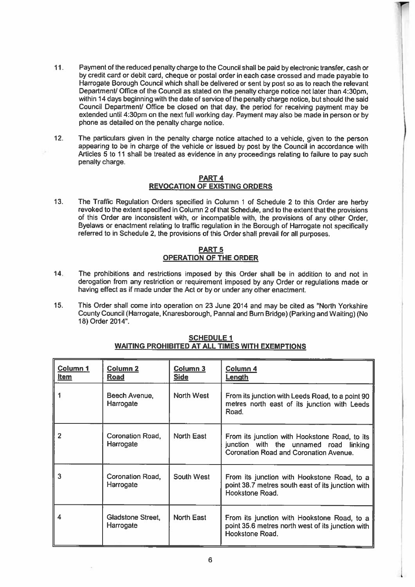11. Payment of the reduced penalty charge to the Council shall be paid by electronic transfer, cash or by credit card or debit card, cheque or postal order in each case crossed and made payable to Harrogate Borough Council which shall be delivered or sent by pos<sup>t</sup> so as to reach the relevant Department/ Office of the Council as stated on the penalty charge notice not later than 4:30pm. within 14 days beginning with the date of service of the penalty charge notice, but should the said Council Department/ Office be closed on that day, the period for receiving payment may be extended until 4:30pm on the next full working day. Payment may also be made in person or by phone as detailed on the penalty charge notice.

l al

12. The particulars <sup>g</sup>iven in the penalty charge notice attached to <sup>a</sup> vehicle, <sup>g</sup>iven to the person appearing to be in charge of the vehicle or issued by pos<sup>t</sup> by the Council in accordance with Articles 5 to 11 shall be treated as evidence in any proceedings relating to failure to pay such penalty charge.

## PART 4 REVOCATION OF EXISTING ORDERS

13. The Traffic Regulation Orders specified in Column <sup>1</sup> of Schedule <sup>2</sup> to this Order are herby revoked to the extent specified in Column <sup>2</sup> of that Schedule, and to the extent that the provisions of this Order are inconsistent with, or incompatible with, the provisions of any other Order, Byelaws or enactment relating to traffic regulation in the Borough of Harrogate not specifically referred to in Schedule 2, the provisions of this Order shall prevail for all purposes.

# <u>PART 5</u> OPERATION OF THE ORDER

- 14. The prohibitions and restrictions imposed by this Order shall be in addition to and not in derogation from any restriction or requirement imposed by any Order or regulations made or having effect as if made under the Act or by or under any other enactment.
- 15. This Order shall come into operation on 23 June 2014 and may be cited as "North Yorkshire County Council (Harrogate, Knaresborough, Pannal and Burn Bridge) (Parking and Waiting) (No 18) Order 2014".

| Column <sub>1</sub><br><b>Item</b> | <b>Column 2</b><br><b>Road</b> | Column 3<br><b>Side</b> | Column 4<br><u>Length</u>                                                                                                         |
|------------------------------------|--------------------------------|-------------------------|-----------------------------------------------------------------------------------------------------------------------------------|
|                                    | Beech Avenue,<br>Harrogate     | North West              | From its junction with Leeds Road, to a point 90<br>metres north east of its junction with Leeds<br>Road.                         |
| 2                                  | Coronation Road,<br>Harrogate  | North East              | From its junction with Hookstone Road, to its<br>junction with the unnamed road linking<br>Coronation Road and Coronation Avenue. |
|                                    | Coronation Road,<br>Harrogate  | South West              | From its junction with Hookstone Road, to a<br>point 38.7 metres south east of its junction with<br>Hookstone Road.               |
|                                    | Gladstone Street,<br>Harrogate | North East              | From its junction with Hookstone Road, to a<br>point 35.6 metres north west of its junction with<br>Hookstone Road.               |

# <u>WAITING PROHIBITED AT ALL TIMES WITH EXEMPTIONS</u> SCHEDULE I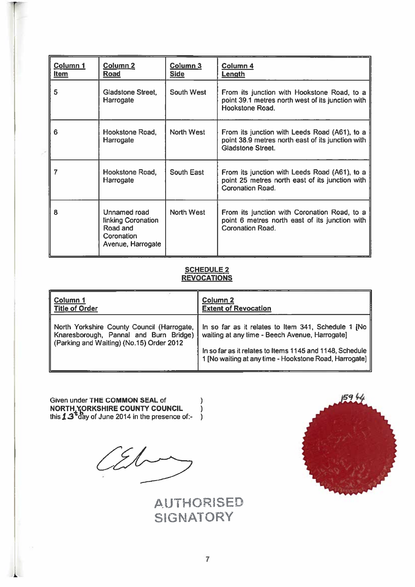| Column 1<br><b>Item</b> | Column <sub>2</sub><br>Road                                                       | Column 3<br><b>Side</b> | Column 4<br>Length                                                                                                             |
|-------------------------|-----------------------------------------------------------------------------------|-------------------------|--------------------------------------------------------------------------------------------------------------------------------|
| 5                       | Gladstone Street,<br>Harrogate                                                    | <b>South West</b>       | From its junction with Hookstone Road, to a<br>point 39.1 metres north west of its junction with<br>Hookstone Road.            |
| 6                       | Hookstone Road,<br>Harrogate                                                      | North West              | From its junction with Leeds Road (A61), to a<br>point 38.9 metres north east of its junction with<br><b>Gladstone Street.</b> |
|                         | Hookstone Road,<br>Harrogate                                                      | South East              | From its junction with Leeds Road (A61), to a<br>point 25 metres north east of its junction with<br>Coronation Road.           |
| я                       | Unnamed road<br>linking Coronation<br>Road and<br>Coronation<br>Avenue, Harrogate | North West              | From its junction with Coronation Road, to a<br>point 6 metres north east of its junction with<br>Coronation Road.             |

## SCHEDULE 2 <u>REVOCATIONS</u>

| Column 1                                                                                                                         | Column <sub>2</sub>                                                                                                                                                                                                           |
|----------------------------------------------------------------------------------------------------------------------------------|-------------------------------------------------------------------------------------------------------------------------------------------------------------------------------------------------------------------------------|
| <b>Title of Order</b>                                                                                                            | <b>Extent of Revocation</b>                                                                                                                                                                                                   |
| North Yorkshire County Council (Harrogate,<br>Knaresborough, Pannal and Burn Bridge)<br>(Parking and Waiting) (No.15) Order 2012 | In so far as it relates to Item 341, Schedule 1 [No  <br>waiting at any time - Beech Avenue, Harrogate]<br>In so far as it relates to Items 1145 and 1148, Schedule<br>1 [No waiting at any time - Hookstone Road, Harrogate] |

Given under THE COMMON SEAL of NORTH YORKSHIRE COUNTY COUNCIL NORTH YORKSHIRE COUNTY COUNCIL. )<br>this  $\mathtt{13}^\mathtt{td}$ day of June 2014 in the presence of:- )

 $\mathcal{L}$ 

AUTHORSEO SIGNATORY